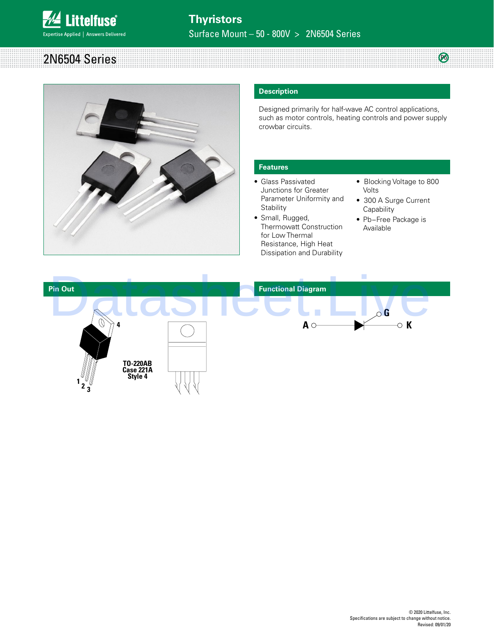

a mata ba

| 2N6504 | <br>œ    |  |  |  |
|--------|----------|--|--|--|
|        | t Series |  |  |  |
|        |          |  |  |  |
|        |          |  |  |  |
|        |          |  |  |  |
|        |          |  |  |  |
|        |          |  |  |  |



# **Description**

Designed primarily for half-wave AC control applications, such as motor controls, heating controls and power supply crowbar circuits.

# **Features**

- Glass Passivated Junctions for Greater Parameter Uniformity and **Stability**
- Small, Rugged, Thermowatt Construction for Low Thermal Resistance, High Heat Dissipation and Durability
- Blocking Voltage to 800 Volts

 $\circledR$ 

mm

- 300 A Surge Current **Capability**
- Pb−Free Package is Available

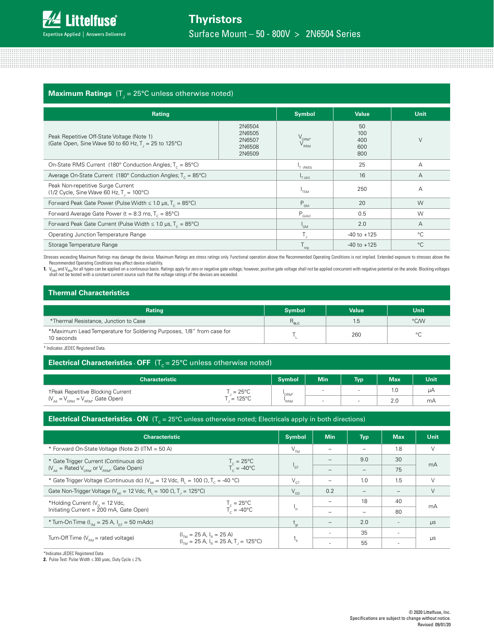

# $\bm{\mathsf{Maximum}~Ratings}$  (T $_{\text{J}}$  = 25°C unless otherwise noted)

| Rating                                                                                                                                               | <b>Symbol</b> | <b>Value</b>                           | <b>Unit</b>                    |        |
|------------------------------------------------------------------------------------------------------------------------------------------------------|---------------|----------------------------------------|--------------------------------|--------|
| 2N6504<br>2N6505<br>Peak Repetitive Off-State Voltage (Note 1)<br>2N6507<br>(Gate Open, Sine Wave 50 to 60 Hz, T, = 25 to 125°C)<br>2N6508<br>2N6509 |               | V <sub>drm</sub> ,<br>V <sub>rrm</sub> | 50<br>100<br>400<br>600<br>800 | $\vee$ |
| On-State RMS Current (180° Conduction Angles; $T_c = 85^{\circ}$ C)                                                                                  |               | T (RMS)                                | 25                             | A      |
| Average On-State Current (180 $^{\circ}$ Conduction Angles; T <sub>c</sub> = 85 $^{\circ}$ C)                                                        | $I_{T(AV)}$   | 16                                     | A                              |        |
| Peak Non-repetitive Surge Current<br>$(1/2 \text{ Cycle}, \text{Sine Wave } 60 \text{ Hz}, T = 100^{\circ}\text{C})$                                 | $I_{TSM}$     | 250                                    | A                              |        |
| Forward Peak Gate Power (Pulse Width $\leq 1.0$ µs, T <sub>c</sub> = 85°C)                                                                           |               | $P_{GM}$                               | 20                             | W      |
| Forward Average Gate Power ( $t = 8.3$ ms, $T_c = 85^{\circ}$ C)                                                                                     | $P_{G(AV)}$   | 0.5                                    | W                              |        |
| Forward Peak Gate Current (Pulse Width $\leq 1.0$ µs, T <sub>c</sub> = 85°C)                                                                         | $I_{GM}$      | 2.0                                    | A                              |        |
| Operating Junction Temperature Range                                                                                                                 | $T_{\rm J}$   | $-40$ to $+125$                        | $^{\circ}C$                    |        |
| Storage Temperature Range                                                                                                                            | sta           | $-40$ to $+125$                        | $^{\circ}C$                    |        |

Stresses exceeding Maximum Ratings may damage the device. Maximum Ratings are stress ratings only. Functional operation above the Recommended Operating Conditions is not implied. Extended exposure to stresses above the

Recommended Operating Conditions may affect device reliability.<br>1. V<sub>isme</sub> and V<sub>isme</sub> for all types can be applied on a continuous basis. Ratings apply for zero or negative gate voltage; however, positive gate voltage sha

| <b>Thermal Characteristics</b>                                                     |               |              |             |  |  |  |
|------------------------------------------------------------------------------------|---------------|--------------|-------------|--|--|--|
| <b>Rating</b>                                                                      | <b>Symbol</b> | <b>Value</b> | <b>Unit</b> |  |  |  |
| *Thermal Resistance, Junction to Case                                              | $R_{\rm esc}$ | 1.5          | °C/W        |  |  |  |
| *Maximum Lead Temperature for Soldering Purposes, 1/8" from case for<br>10 seconds |               | 260          | $\circ$     |  |  |  |

\* Indicates JEDEC Registered Data.

# **Electrical Characteristics - OFF**  $(T_c = 25^{\circ}C$  unless otherwise noted)

| <b>Characteristic '</b>                             |                  | <b>Symbol</b> | <b>Min</b> | <b>Typ</b> | <b>Max</b> | <b>Unit</b> |
|-----------------------------------------------------|------------------|---------------|------------|------------|------------|-------------|
| <b>TPeak Repetitive Blocking Current</b>            | $= 25^{\circ}$ C | 'DRM'         |            |            | 1. C       | uΑ          |
| $(V_{_{AK}} = V_{_{DRM}} = V_{_{RRM}}$ ; Gate Open) | $=125^{\circ}C$  | 'RRM          |            |            | 2.0        | mA          |

## **Electrical Characteristics - ON**  $(T_c = 25^{\circ}C$  unless otherwise noted; Electricals apply in both directions)

| <b>Characteristic</b>                                                                                                       |                                                               |                                                   | <b>Min</b>               | <b>Typ</b>               | <b>Max</b>               | Unit    |
|-----------------------------------------------------------------------------------------------------------------------------|---------------------------------------------------------------|---------------------------------------------------|--------------------------|--------------------------|--------------------------|---------|
| * Forward On-State Voltage (Note 2) (ITM = 50 A)                                                                            |                                                               | $V_{TM}$                                          |                          |                          | 1.8                      | V       |
| * Gate Trigger Current (Continuous dc)                                                                                      |                                                               | l <sub>GT</sub>                                   | $\overline{\phantom{0}}$ | 9.0                      | 30                       |         |
| $(V_{AK} =$ Rated $V_{DBM}$ or $V_{BBM}$ , Gate Open)                                                                       | $T_c = 25^{\circ}C$<br>$T_c = -40^{\circ}C$                   |                                                   | $\overline{\phantom{0}}$ | $\overline{\phantom{0}}$ | 75                       | mA      |
| * Gate Trigger Voltage (Continuous dc) ( $V_{\text{av}}$ = 12 Vdc, R <sub>1</sub> = 100 $\Omega$ , T <sub>c</sub> = -40 °C) |                                                               |                                                   | $\overline{\phantom{0}}$ | 1.0                      | 1.5                      | V       |
| Gate Non-Trigger Voltage ( $V_{AK}$ = 12 Vdc, R <sub>1</sub> = 100 $\Omega$ , T <sub>1</sub> = 125°C)                       |                                                               |                                                   | 0.2                      | $\overline{\phantom{0}}$ |                          | V       |
| *Holding Current ( $V_{p}$ = 12 Vdc,                                                                                        |                                                               |                                                   | $\overline{\phantom{0}}$ | 18                       | 40                       |         |
| Initiating Current = 200 mA, Gate Open)                                                                                     |                                                               | $T_c = 25^{\circ}C$<br>$T_c = -40^{\circ}C$<br>'H |                          |                          | 80                       | mA      |
| * Turn-On Time ( $I_{\tau_{M}}$ = 25 A, $I_{\tau_{T}}$ = 50 mAdc)                                                           |                                                               |                                                   | $\overline{\phantom{0}}$ | 2.0                      | $\overline{a}$           | $\mu s$ |
|                                                                                                                             | $(I_{\tau_{\rm M}} = 25 \text{ A}, I_{\rm B} = 25 \text{ A})$ |                                                   | $\overline{\phantom{a}}$ | 35                       | $\overline{\phantom{a}}$ |         |
| Turn-Off Time $(V_{\text{EM}}$ = rated voltage)                                                                             | $(I_{TM} = 25 A, I_n = 25 A, T = 125^{\circ}C)$               | ٠a                                                | $\overline{\phantom{a}}$ | 55                       |                          | $\mu s$ |

\*Indicates JEDEC Registered Data

**2.** Pulse Test: Pulse Width ≤ 300 µsec, Duty Cycle ≤ 2%.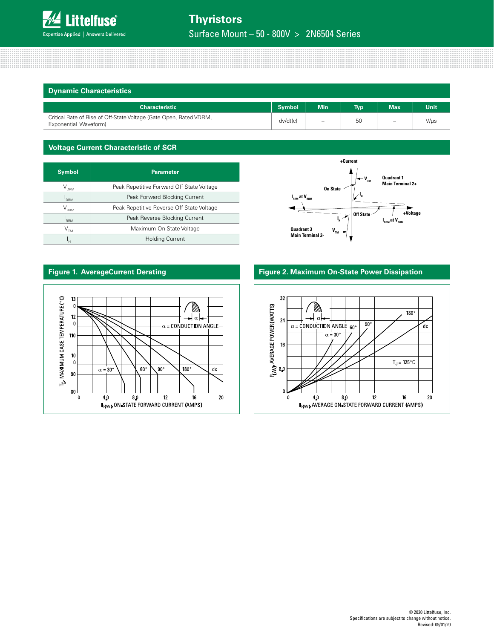

Surface Mount – 50 - 800V > 2N6504 Series

| <b>Dynamic Characteristics</b>                                                              |               |                          |            |                          |      |
|---------------------------------------------------------------------------------------------|---------------|--------------------------|------------|--------------------------|------|
| <b>Characteristic</b>                                                                       | <b>Symbol</b> | <b>Min</b>               | <b>Typ</b> | <b>Max</b>               | Unit |
| Critical Rate of Rise of Off-State Voltage (Gate Open, Rated VDRM,<br>Exponential Waveform) |               | $\overline{\phantom{0}}$ | 50         | $\overline{\phantom{m}}$ | V/µs |

#### **Voltage Current Characteristic of SCR**

| <b>Symbol</b>                                          | <b>Parameter</b>                          |  |  |  |
|--------------------------------------------------------|-------------------------------------------|--|--|--|
| $\mathsf{V}_{\text{\tiny{DRM}}}$                       | Peak Repetitive Forward Off State Voltage |  |  |  |
| <b>DRM</b>                                             | Peak Forward Blocking Current             |  |  |  |
| $V_{_{\rm RRM}}$                                       | Peak Repetitive Reverse Off State Voltage |  |  |  |
| Peak Reverse Blocking Current<br><sup>1</sup> RRM      |                                           |  |  |  |
| Maximum On State Voltage<br>$\mathsf{V}_{\mathsf{TM}}$ |                                           |  |  |  |
| <b>Holding Current</b><br>'н                           |                                           |  |  |  |





## **Figure 1. AverageCurrent Derating Figure 2. Maximum On-State Power Dissipation**

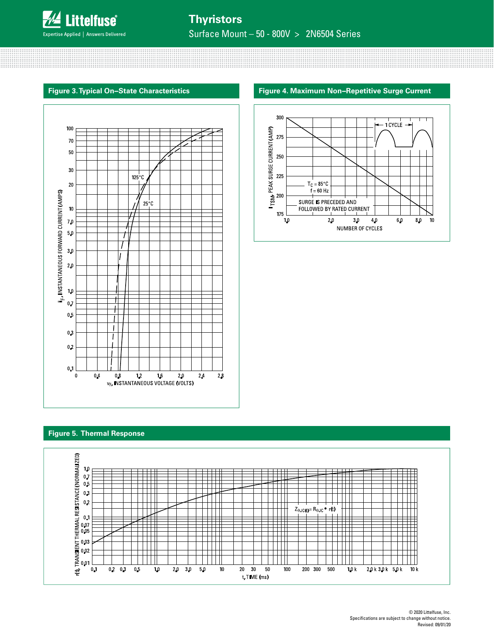

Surface Mount – 50 - 800V > 2N6504 Series

# **Figure 3. Typical On−State Characteristics Figure 4. Maximum Non−Repetitive Surge Current**



#### 300  $-1$  CYCLE  $-$ **T**SM<sub>P</sub> PEAK SURGE CURRENT (AMP)<br>23<br>23<br>29<br>29<br>29  $T_C = 85^{\circ}C$  $\check{f}$  = 60 Hz SURGE IS PRECEDED AND FOLLOWED BY RATED CURRENT 175  $10\,$  $2.0$  $3\,\mathrm{0}$  $4\,\Omega$  $6\,\,0$  $\bf 8.0$  $10$ NUMBER OF CYCLES

#### **Figure 5. Thermal Response**

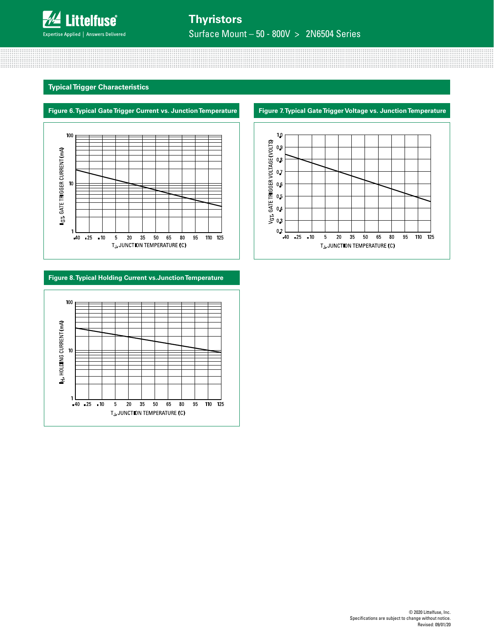

Surface Mount – 50 - 800V > 2N6504 Series

## **Typical Trigger Characteristics**





# **Figure 8. Typical Holding Current vs.Junction Temperature**



#### **Figure 7. Typical Gate Trigger Voltage vs. Junction Temperature**